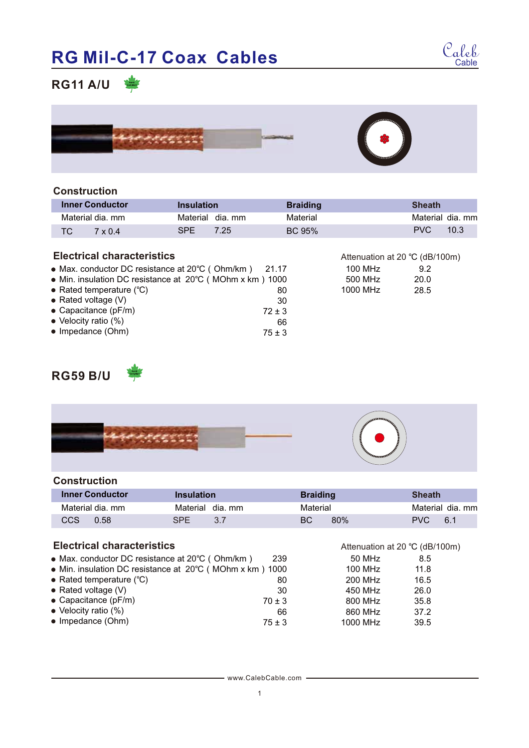# **RG Mil-C-17 Coax Cables**



# **RG11 A/U**



#### **Construction**

| <b>Inner Conductor</b> | <b>Insulation</b>  | <b>Braiding</b> | Sheath                       |
|------------------------|--------------------|-----------------|------------------------------|
| Material dia. mm       | Material dia mm    | Material        | Material dia, mm             |
| TC.<br>$7 \times 0.4$  | <b>SPE</b><br>7.25 | <b>BC 95%</b>   | <b>PVC</b><br>$10.3^{\circ}$ |

#### **Electrical characteristics**

| • Max. conductor DC resistance at 20°C (Ohm/km) 21.17    |            |
|----------------------------------------------------------|------------|
| • Min. insulation DC resistance at 20°C (MOhm x km) 1000 |            |
| • Rated temperature $(°C)$                               | 80         |
| $\bullet$ Rated voltage (V)                              | 30         |
| $\bullet$ Capacitance (pF/m)                             | $72 \pm 3$ |
| • Velocity ratio (%)                                     | 66         |
| • Impedance (Ohm)                                        | $75 \pm 3$ |

|          | Attenuation at 20 °C (dB/100m) |
|----------|--------------------------------|
| 100 MHz  | 9.2                            |
| 500 MHz  | 20.0                           |
| 1000 MHz | 28.5                           |
|          |                                |

50 MHz

8.5 11.8 16.5 26.0 35.8 37.2 39.5

Attenuation at 20 ℃ (dB/100m)

450 MHz 800 MHz 860 MHz 1000 MHz

# **RG59 B/U**



#### **Construction**

| <b>Inner Conductor</b> | Insulation      | <b>Braiding</b> | <b>Sheath</b>    |
|------------------------|-----------------|-----------------|------------------|
| Material dia. mm       | Material dia mm | Material        | Material dia. mm |
| CCS<br>0.58            | SPF<br>3.7      | 80%<br>BC.      | PVC.<br>6.1      |

#### **Electrical characteristics**

- Max. conductor DC resistance at 20℃(Ohm/km) 239
- Min. insulation DC resistance at 20℃(MOhm x km) 1000 Rated temperature (℃) 80 100 MHz 200 MHz
- Rated voltage (V)
- Capacitance (pF/m)
- Velocity ratio (%)
- $\bullet$  Impedance (Ohm)

#### www.CalebCable.com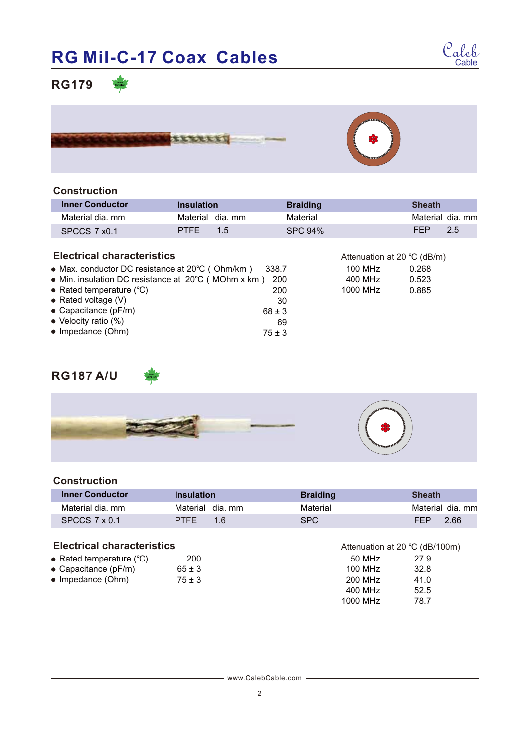# **RG Mil-C-17 Coax Cables**



### **RG179**



### **Construction**

| <b>Inner Conductor</b> | <b>Insulation</b>  | <b>Braiding</b> | <b>Sheath</b>   |
|------------------------|--------------------|-----------------|-----------------|
| Material dia. mm       | Material dia mm    | Material        | Material dia mm |
| SPCCS 7 x0.1           | <b>PTFE</b><br>1.5 | SPC 94%         | FFP<br>2.5      |

#### **Electrical characteristics**

| • Max. conductor DC resistance at 20°C (Ohm/km)     | - 338.7    |
|-----------------------------------------------------|------------|
| • Min. insulation DC resistance at 20°C (MOhm x km) | 200        |
| • Rated temperature $(°C)$                          | 200        |
| • Rated voltage $(V)$                               | 30         |
| $\bullet$ Capacitance (pF/m)                        | $68 \pm 3$ |
| $\bullet$ Velocity ratio (%)                        | 69         |
| • Impedance (Ohm)                                   | $75 + 3$   |

| Attenuation at 20 °C (dB/m) |       |
|-----------------------------|-------|
| 100 MH <sub>z</sub>         | 0.268 |
| 400 MHz                     | 0.523 |
| 1000 MH <sub>z</sub>        | 0.885 |
|                             |       |

### **RG187 A/U**



#### **Construction**

| <b>Inner Conductor</b> | Insulation                    | <b>Braiding</b> | <b>Sheath</b>    |
|------------------------|-------------------------------|-----------------|------------------|
| Material dia. mm       | Material dia mm               | Material        | Material dia. mm |
| SPCCS $7 \times 0.1$   | <b>PTFE</b><br>1 <sub>6</sub> | SPC             | FFP<br>2.66      |

#### **Electrical characteristics**

| • Rated temperature $(^{\circ}C)$ | 200        |
|-----------------------------------|------------|
| $\bullet$ Capacitance (pF/m)      | $65 \pm 3$ |

± 3

Impedance (Ohm) 75

50 MHz 27.9 100 MHz 200 MHz 400 MHz 1000 MHz 32.8 41.0 52.5 78.7 Attenuation at 20 ℃ (dB/100m)